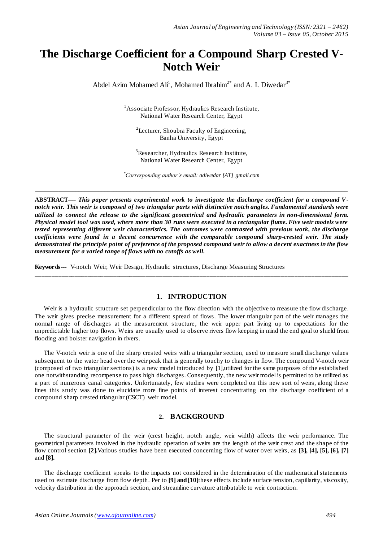# **The Discharge Coefficient for a Compound Sharp Crested V-Notch Weir**

Abdel Azim Mohamed  $\text{Ali}^1$ , Mohamed Ibrahim<sup>2\*</sup> and A. I. Diwedar<sup>3\*</sup>

<sup>1</sup>Associate Professor, Hydraulics Research Institute, National Water Research Center, Egypt

<sup>2</sup>Lecturer, Shoubra Faculty of Engineering, Banha University, Egypt

<sup>3</sup>Researcher, Hydraulics Research Institute, National Water Research Center, Egypt

*\*Corresponding author's email: adiwedar [AT] gmail.com*

*\_\_\_\_\_\_\_\_\_\_\_\_\_\_\_\_\_\_\_\_\_\_\_\_\_\_\_\_\_\_\_\_\_\_\_\_\_\_\_\_\_\_\_\_\_\_\_\_\_\_\_\_\_\_\_\_\_\_\_\_\_\_\_\_\_\_\_\_\_\_\_\_\_\_\_\_\_\_\_\_\_\_\_\_\_\_\_\_\_\_\_\_\_\_\_\_\_\_\_\_\_\_\_\_\_\_\_\_*

**ABSTRACT----** *This paper presents experimental work to investigate the discharge coefficient for a compound Vnotch weir. This weir is composed of two triangular parts with distinctive notch angles. Fundamental standards were utilized to connect the release to the significant geometrical and hydraulic parameters in non-dimensional form. Physical model tool was used, where more than 30 runs were executed in a rectangular flume. Five weir models were tested representing different weir characteristics. The outcomes were contrasted with previous work, the discharge coefficients were found in a decent concurrence with the comparable compound sharp-crested weir. The study demonstrated the principle point of preference of the proposed compound weir to allow a de cent exactness in the flow measurement for a varied range of flows with no cutoffs as well.*

**Keywords---** V-notch Weir, Weir Design, Hydraulic structures, Discharge Measuring Structures

### **1. INTRODUCTION**

\_\_\_\_\_\_\_\_\_\_\_\_\_\_\_\_\_\_\_\_\_\_\_\_\_\_\_\_\_\_\_\_\_\_\_\_\_\_\_\_\_\_\_\_\_\_\_\_\_\_\_\_\_\_\_\_\_\_\_\_\_\_\_\_\_\_\_\_\_\_\_\_\_\_\_\_\_\_\_\_\_\_\_\_\_\_\_\_\_\_\_\_\_\_

Weir is a hydraulic structure set perpendicular to the flow direction with the objective to measure the flow discharge. The weir gives precise measurement for a different spread of flows. The lower triangular part of the weir manages the normal range of discharges at the measurement structure, the weir upper part living up to expectations for the unpredictable higher top flows. Weirs are usually used to observe rivers flow keeping in mind the end goal to shield from flooding and bolster navigation in rivers.

The V-notch weir is one of the sharp crested weirs with a triangular section, used to measure small discharge values subsequent to the water head over the weir peak that is generally touchy to changes in flow. The compound V-notch weir (composed of two triangular sections) is a new model introduced by [1],utilized for the same purposes of the established one notwithstanding recompense to pass high discharges. Consequently, the new weir model is permitted to be utilized as a part of numerous canal categories. Unfortunately, few studies were completed on this new sort of weirs, along these lines this study was done to elucidate more fine points of interest concentrating on the discharge coefficient of a compound sharp crested triangular (CSCT) weir model.

### **2. BACKGROUND**

The structural parameter of the weir (crest height, notch angle, weir width) affects the weir performance. The geometrical parameters involved in the hydraulic operation of weirs are the length of the weir crest and the shape of the flow control section **[2].**Various studies have been executed concerning flow of water over weirs, as **[3], [4], [5], [6], [7]**  and **[8].**

The discharge coefficient speaks to the impacts not considered in the determination of the mathematical statements used to estimate discharge from flow depth. Per to **[9] and [10]**these effects include surface tension, capillarity, viscosity, velocity distribution in the approach section, and streamline curvature attributable to weir contraction.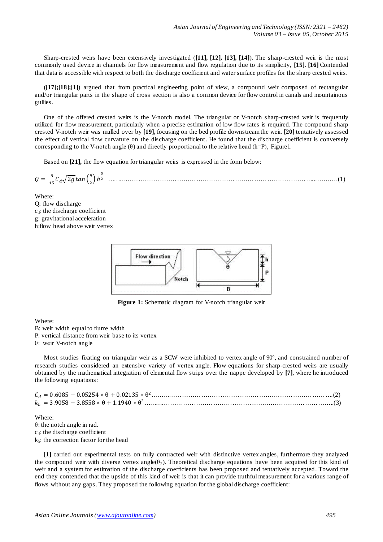Sharp-crested weirs have been extensively investigated (**[11], [12], [13], [14]**). The sharp-crested weir is the most commonly used device in channels for flow measurement and flow regulation due to its simplicity, **[15]**. **[16]** Contended that data is accessible with respect to both the discharge coefficient and water surface profiles for the sharp crested weirs.

(**[17];[18];[1]**) argued that from practical engineering point of view, a compound weir composed of rectangular and/or triangular parts in the shape of cross section is also a common device for flow control in canals and mountainous gullies.

One of the offered crested weirs is the V-notch model. The triangular or V-notch sharp-crested weir is frequently utilized for flow measurement, particularly when a precise estimation of low flow rates is required. The compound sharp crested V-notch weir was mulled over by **[19],** focusing on the bed profile downstream the weir. **[20]** tentatively assessed the effect of vertical flow curvature on the discharge coefficient. He found that the discharge coefficient is conversely corresponding to the V-notch angle  $(\theta)$  and directly proportional to the relative head (h=P), Figure1.

Based on **[21],** the flow equation for triangular weirs is expressed in the form below:

 √ ( ) ……………………………………………………………………………………...…….…(1)

Where: Q: flow discharge  $c_d$ : the discharge coefficient g: gravitational acceleration h:flow head above weir vertex



**Figure 1:** Schematic diagram for V-notch triangular weir

Where:

- B: weir width equal to flume width
- P: vertical distance from weir base to its vertex

θ: weir V-notch angle

Most studies fixating on triangular weir as a SCW were inhibited to vertex angle of 90°, and constrained number of research studies considered an extensive variety of vertex angle. Flow equations for sharp-crested weirs are usually obtained by the mathematical integration of elemental flow strips over the nappe developed by **[7]**, where he introduced the following equations:

Where: θ: the notch angle in rad. c<sub>d</sub>: the discharge coefficient kh: the correction factor for the head

**[1]** carried out experimental tests on fully contracted weir with distinctive vertex angles, furthermore they analyzed the compound weir with diverse vertex angle( $\theta_2$ ). Theoretical discharge equations have been acquired for this kind of weir and a system for estimation of the discharge coefficients has been proposed and tentatively accepted. Toward the end they contended that the upside of this kind of weir is that it can provide truthful measurement for a various range of flows without any gaps. They proposed the following equation for the global discharge coefficient: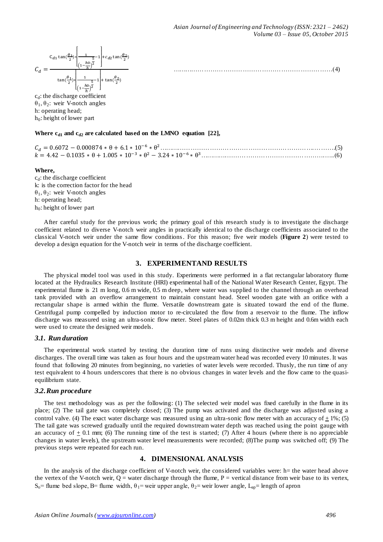…………………………………………………………………(4)



 $c_d$ : the discharge coefficient θ1, θ2: weir V-notch angles h: operating head;  $h_0$ : height of lower part

#### Where c<sub>d1</sub> and c<sub>d2</sub> are calculated based on the LMNO equation [22],

| $k = 4.42 - 0.1035 * \theta + 1.005 * 10^{-3} * \theta^2 - 3.24 * 10^{-6} * \theta^3$ |  |
|---------------------------------------------------------------------------------------|--|

#### **Where,**

 $c_d$ : the discharge coefficient k: is the correction factor for the head θ1, θ2: weir V-notch angles h: operating head;  $h_0$ : height of lower part

After careful study for the previous work; the primary goal of this research study is to investigate the discharge coefficient related to diverse V-notch weir angles in practically identical to the discharge coefficients associated to the classical V-notch weir under the same flow conditions. For this reason; five weir models (**Figure 2**) were tested to develop a design equation for the V-notch weir in terms of the discharge coefficient.

#### **3. EXPERIMENTAND RESULTS**

The physical model tool was used in this study. Experiments were performed in a flat rectangular laboratory flume located at the Hydraulics Research Institute (HRI) experimental hall of the National Water Research Center, Egypt. The experimental flume is 21 m long, 0.6 m wide, 0.5 m deep, where water was supplied to the channel through an overhead tank provided with an overflow arrangement to maintain constant head. Steel wooden gate with an orifice with a rectangular shape is armed within the flume. Versatile downstream gate is situated toward the end of the flume. Centrifugal pump compelled by induction motor to re-circulated the flow from a reservoir to the flume. The inflow discharge was measured using an ultra-sonic flow meter. Steel plates of 0.02m thick 0.3 m height and 0.6m width each were used to create the designed weir models.

#### *3.1. Run duration*

The experimental work started by testing the duration time of runs using distinctive weir models and diverse discharges. The overall time was taken as four hours and the upstream water head was recorded every 10 minutes. It was found that following 20 minutes from beginning, no varieties of water levels were recorded. Thusly, the run time of any test equivalent to 4 hours underscores that there is no obvious changes in water levels and the flow came to the quasiequilibrium state.

#### *3.2.Run procedure*

The test methodology was as per the following: (1) The selected weir model was fixed carefully in the flume in its place; (2) The tail gate was completely closed; (3) The pump was activated and the discharge was adjusted using a control valve. (4) The exact water discharge was measured using an ultra-sonic flow meter with an accuracy of  $\pm 1\%$ ; (5) The tail gate was screwed gradually until the required downstream water depth was reached using the point gauge with an accuracy of  $\pm$  0.1 mm; (6) The running time of the test is started; (7) After 4 hours (where there is no appreciable changes in water levels), the upstream water level measurements were recorded; (8)The pump was switched off; (9) The previous steps were repeated for each run.

#### **4. DIMENSIONAL ANALYSIS**

In the analysis of the discharge coefficient of V-notch weir, the considered variables were: h= the water head above the vertex of the V-notch weir,  $Q =$  water discharge through the flume,  $P =$  vertical distance from weir base to its vertex,  $S_0$ = flume bed slope, B= flume width,  $\theta_1$ = weir upper angle,  $\theta_2$ = weir lower angle, L<sub>ap</sub>= length of apron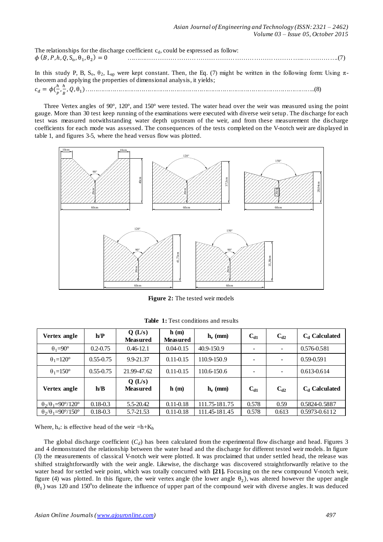The relationships for the discharge coefficient  $c_d$ , could be expressed as follow:  $\phi$  (B , P , h , Q , S  $_0$  ,  $\theta_1$  , ………………………………………………………………………...…………….(7)

In this study P, B,  $S_0$ ,  $\theta_2$ , L<sub>ap</sub> were kept constant. Then, the Eq. (7) might be written in the following form: Using  $\pi$ theorem and applying the properties of dimensional analysis, it yields;  $c_d = \phi(\frac{h}{h})$  $\frac{h}{P}$ ,  $\frac{h}{B}$ ………………………………………………………………………………………………………..(8)

Three Vertex angles of 90°, 120°, and 150° were tested. The water head over the weir was measured using the point gauge. More than 30 test keep running of the examinations were executed with diverse weir setup. The discharge for each test was measured notwithstanding water depth upstream of the weir, and from these measurement the discharge coefficients for each mode was assessed. The consequences of the tests completed on the V-notch weir are displayed in table 1, and figures 3-5, where the head versus flow was plotted.



**Figure 2:** The tested weir models

| Vertex angle                             | h/P           | Q(L/s)<br><b>Measured</b> | h(m)<br><b>Measured</b> | $h_e$ (mm)    | $C_{d1}$                 | $C_{d2}$                 | $C_d$ Calculated |
|------------------------------------------|---------------|---------------------------|-------------------------|---------------|--------------------------|--------------------------|------------------|
| $\theta_1 = 90^\circ$                    | $0.2 - 0.75$  | $0.46 - 12.1$             | $0.04 - 0.15$           | 40.9-150.9    | $\overline{\phantom{a}}$ | $\overline{\phantom{a}}$ | 0.576-0.581      |
| $\theta_1 = 120^\circ$                   | $0.55 - 0.75$ | 9.9-21.37                 | $0.11 - 0.15$           | 110.9-150.9   | -                        |                          | $0.59 - 0.591$   |
| $\theta_1 = 150^\circ$                   | $0.55 - 0.75$ | 21.99-47.62               | $0.11 - 0.15$           | 110.6-150.6   | -                        |                          | 0.613-0.614      |
| Vertex angle                             | h/B           | Q(L/s)<br><b>Measured</b> | h(m)                    | $h_e$ (mm)    | $C_{d1}$                 | $C_{d2}$                 | $C_d$ Calculated |
| $\theta_2/\theta_1 = 90^\circ/120^\circ$ | $0.18 - 0.3$  | 5.5-20.42                 | $0.11 - 0.18$           | 111.75-181.75 | 0.578                    | 0.59                     | 0.5824-0.5887    |
| $\theta_2/\theta_1 = 90^\circ/150^\circ$ | $0.18 - 0.3$  | 5.7-21.53                 | $0.11 - 0.18$           | 111.45-181.45 | 0.578                    | 0.613                    | 0.5973-0.6112    |

Table 1: Test conditions and results

Where,  $h_e$ : is effective head of the weir  $=h+K_h$ 

The global discharge coefficient  $(C_d)$  has been calculated from the experimental flow discharge and head. Figures 3 and 4 demonstrated the relationship between the water head and the discharge for different tested weir models. In figure (3) the measurements of classical V-notch weir were plotted. It was proclaimed that under settled head, the release was shifted straightforwardly with the weir angle. Likewise, the discharge was discovered straightforwardly relative to the water head for settled weir point, which was totally concurred with **[21].** Focusing on the new compound V-notch weir, figure (4) was plotted. In this figure, the weir vertex angle (the lower angle  $\theta_2$ ), was altered however the upper angle  $(\theta_1)$  was 120 and 150<sup>o</sup>to delineate the influence of upper part of the compound weir with diverse angles. It was deduced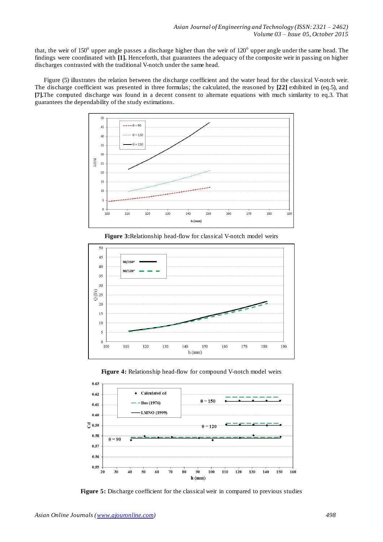that, the weir of 150 $^{\circ}$  upper angle passes a discharge higher than the weir of 120 $^{\circ}$  upper angle under the same head. The findings were coordinated with **[1].** Henceforth, that guarantees the adequacy of the composite weir in passing on higher discharges contrasted with the traditional V-notch under the same head.

Figure (5) illustrates the relation between the discharge coefficient and the water head for the classical V-notch weir. The discharge coefficient was presented in three formulas; the calculated, the reasoned by **[22]** exhibited in (eq.5), and **[7].**The computed discharge was found in a decent consent to alternate equations with much similarity to eq.3. That guarantees the dependability of the study estimations.



**Figure 3:**Relationship head-flow for classical V-notch model weirs







**Figure 5:** Discharge coefficient for the classical weir in compared to previous studies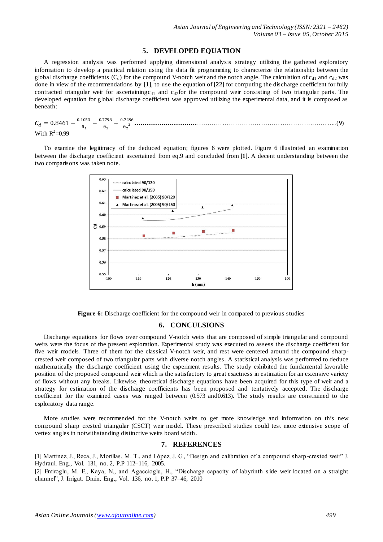## **5. DEVELOPED EQUATION**

A regression analysis was performed applying dimensional analysis strategy utilizing the gathered exploratory information to develop a practical relation using the data fit programming to characterize the relationship between the global discharge coefficients  $(C_d)$  for the compound V-notch weir and the notch angle. The calculation of  $c_{d1}$  and  $c_{d2}$  was done in view of the recommendations by **[1]**, to use the equation of **[22]** for computing the discharge coefficient for fully contracted triangular weir for ascertainingc<sub>d1</sub> and c<sub>d2</sub>for the compound weir consisting of two triangular parts. The developed equation for global discharge coefficient was approved utilizing the experimental data, and it is composed as beneath:

 $C_d = 0.8461 - \frac{0}{2}$  $\theta$ <sup>-</sup>  $\boldsymbol{0}$  $\theta$  $^{+}$  $\boldsymbol{0}$  $\theta$  **…………………………**……………………………………………….………..(9) With  $R^2$ =0.99

To examine the legitimacy of the deduced equation; figures 6 were plotted. Figure 6 illustrated an examination between the discharge coefficient ascertained from eq.9 and concluded from **[1]**. A decent understanding between the two comparisons was taken note.



Figure 6: Discharge coefficient for the compound weir in compared to previous studies

#### **6. CONCULSIONS**

Discharge equations for flows over compound V-notch weirs that are composed of simple triangular and compound weirs were the focus of the present exploration. Experimental study was executed to assess the discharge coefficient for five weir models. Three of them for the classical V-notch weir, and rest were centered around the compound sharpcrested weir composed of two triangular parts with diverse notch angles. A statistical analysis was performed to deduce mathematically the discharge coefficient using the experiment results. The study exhibited the fundamental favorable position of the proposed compound weir which is the satisfactory to great exactness in estimation for an extensive variety of flows without any breaks. Likewise, theoretical discharge equations have been acquired for this type of weir and a strategy for estimation of the discharge coefficients has been proposed and tentatively accepted. The discharge coefficient for the examined cases was ranged between (0.573 and0.613). The study results are constrained to the exploratory data range.

More studies were recommended for the V-notch weirs to get more knowledge and information on this new compound sharp crested triangular (CSCT) weir model. These prescribed studies could test more extensive scope of vertex angles in notwithstanding distinctive weirs board width.

#### **7. REFERENCES**

[1] Martinez, J., Reca, J., Morillas, M. T., and López, J. G., "Design and calibration of a compound sharp -crested weir" J. Hydraul. Eng., Vol. 131, no. 2, P.P 112–116, 2005.

[2] Emiroglu, M. E., Kaya, N., and Agaccioglu, H., "Discharge capacity of labyrinth side weir located on a straight channel", J. Irrigat. Drain. Eng., Vol. 136, no. 1, P.P 37–46, 2010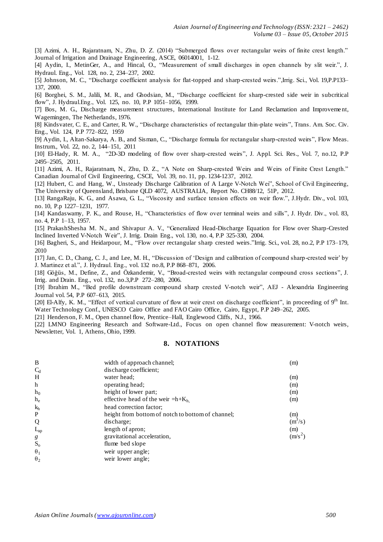[3] Azimi, A. H., Rajaratnam, N., Zhu, D. Z. (2014) "Submerged flows over rectangular weirs of finite crest length." Journal of Irrigation and Drainage Engineering, ASCE, 06014001, 1-12.

[4] Aydin, I., MetinGer, A., and Hincal, O., "Measurement of small discharges in open channels by slit weir.", J. Hydraul. Eng., Vol. 128, no. 2, 234–237, 2002.

[5] Johnson, M. C., "Discharge coefficient analysis for flat-topped and sharp-crested weirs.",Irrig. Sci., Vol. 19,P.P133– 137, 2000.

[6] Borghei, S. M., Jalili, M. R., and Ghodsian, M., "Discharge coefficient for sharp-crested side weir in subcritical flow", J. Hydraul.Eng., Vol. 125, no. 10, P.P 1051–1056, 1999.

[7] Bos, M. G., Discharge measurement structures, International Institute for Land Reclamation and Improveme nt, Wagemingen, The Netherlands, 1976.

[8] Kindsvater, C. E., and Carter, R. W., "Discharge characteristics of rectangular thin-plate weirs", Trans. Am. Soc. Civ. Eng., Vol. 124, P.P 772–822, 1959

[9] Aydin, I., Altan-Sakarya, A. B., and Sisman, C., "Discharge formula for rectangular sharp-crested weirs", Flow Meas. Instrum., Vol. 22, no. 2, 144–151, 2011

[10] El-Hady, R. M. A., "2D-3D modeling of flow over sharp-crested weirs", J. Appl. Sci. Res., Vol. 7, no.12, P.P 2495–2505, 2011.

[11] Azimi, A. H., Rajaratnam, N., Zhu, D. Z., "A Note on Sharp-crested Weirs and Weirs of Finite Crest Length." Canadian Journal of Civil Engineering, CSCE, Vol. 39, no. 11, pp. 1234-1237, 2012.

[12] Hubert, C. and Hang, W., Unsteady Discharge Calibration of A Large V-Notch Wei", School of Civil Engineering, The University of Queensland, Brisbane QLD 4072, AUSTRALIA, Report No. CH88/12, 51P, 2012.

[13] RangaRaju, K. G., and Asawa, G. L., "Viscosity and surface tension effects on weir flow.", J.Hydr. Div., vol. 103, no. 10, P.p 1227–1231, 1977.

[14] Kandaswamy, P. K., and Rouse, H., "Characteristics of flow over terminal weirs and sills", J. Hydr. Div., vol. 83, no. 4, P.P 1–13, 1957.

[15] PrakashShesha M. N., and Shivapur A. V., "Generalized Head-Discharge Equation for Flow over Sharp-Crested Inclined Inverted V-Notch Weir", J. Irrig. Drain Eng., vol. 130, no. 4, P.P 325-330, 2004.

[16] Bagheri, S., and Heidarpour, M., "Flow over rectangular sharp crested weirs."Irrig. Sci., vol. 28, no.2, P.P 173–179, 2010

[17] Jan, C. D., Chang, C. J., and Lee, M. H., "Discussion of "Design and calibration of compound sharp-crested weir" by J. Martinez et al.", J. Hydraul. Eng., vol. 132 no.8, P.P 868–871, 2006.

[18] Göğüs, M., Define, Z., and Özkandemir, V., "Broad-crested weirs with rectangular compound cross sections", J. Irrig. and Drain. Eng., vol. 132, no.3,P.P 272–280, 2006.

[19] Ibrahim M., "Bed profile downstream compound sharp crested V-notch weir", AEJ - Alexandria Engineering Journal vol. 54, P.P 607–613, 2015.

[20] El-Alfy, K. M., "Effect of vertical curvature of flow at weir crest on discharge coefficient", in proceeding of 9<sup>th</sup> Int. Water Technology Conf., UNESCO Cairo Office and FAO Cairo Office, Cairo, Egypt, P.P 249–262, 2005.

[21] Henderson, F. M., Open channel flow, Prentice–Hall, Englewood Cliffs, N.J., 1966.

[22] LMNO Engineering Research and Software-Ltd., Focus on open channel flow measurement: V-notch weirs, Newsletter, Vol. 1, Athens, Ohio, 1999.

## **8. NOTATIONS**

| B                           | width of approach channel;                        | (m)       |
|-----------------------------|---------------------------------------------------|-----------|
| $C_d$                       | discharge coefficient;                            |           |
| H                           | water head:                                       | (m)       |
| $\mathbf h$                 | operating head;                                   | (m)       |
| $h_0$                       | height of lower part;                             | (m)       |
| $h_e$                       | effective head of the weir $=h+K_h$ .             | (m)       |
| $k_h$                       | head correction factor;                           |           |
| P                           | height from bottom of notch to bottom of channel; | (m)       |
| Q                           | discharge;                                        | $(m^3/s)$ |
| $L_{ap}$                    | length of apron;                                  | (m)       |
|                             | gravitational acceleration,                       | $(m/s^2)$ |
| $g$ $\mathbf{S}_\mathrm{o}$ | flume bed slope                                   |           |
| $\theta_1$                  | weir upper angle;                                 |           |
| $\theta_2$                  | weir lower angle;                                 |           |